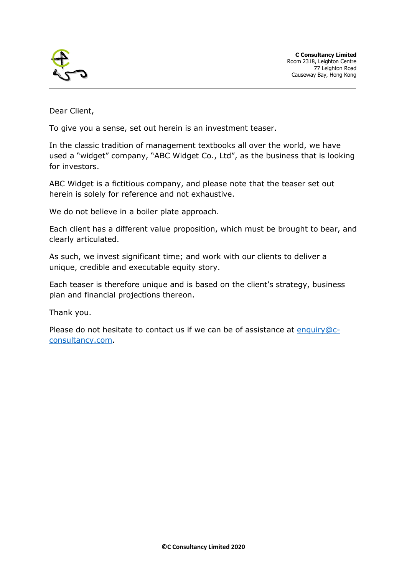

Dear Client,

To give you a sense, set out herein is an investment teaser.

In the classic tradition of management textbooks all over the world, we have used a "widget" company, "ABC Widget Co., Ltd", as the business that is looking for investors.

ABC Widget is a fictitious company, and please note that the teaser set out herein is solely for reference and not exhaustive.

We do not believe in a boiler plate approach.

Each client has a different value proposition, which must be brought to bear, and clearly articulated.

As such, we invest significant time; and work with our clients to deliver a unique, credible and executable equity story.

Each teaser is therefore unique and is based on the client's strategy, business plan and financial projections thereon.

Thank you.

Please do not hesitate to contact us if we can be of assistance at [enquiry@c](mailto:enquiry@c-consultancy.com)[consultancy.com.](mailto:enquiry@c-consultancy.com)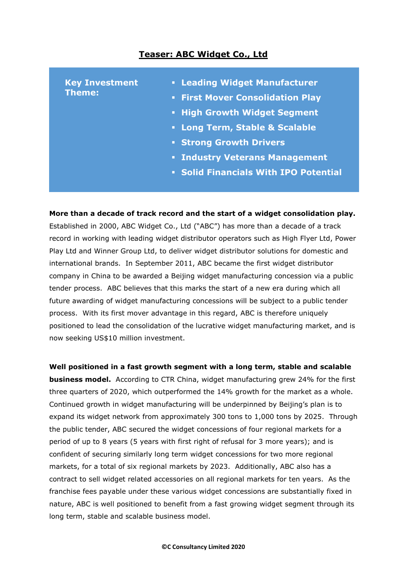## **Teaser: ABC Widget Co., Ltd**

| <b>• Leading Widget Manufacturer</b><br><b>Key Investment</b><br>Theme:<br><b>First Mover Consolidation Play</b><br>• High Growth Widget Segment<br>• Long Term, Stable & Scalable<br><b>Strong Growth Drivers</b><br><b>· Industry Veterans Management</b><br>• Solid Financials With IPO Potential |  |
|------------------------------------------------------------------------------------------------------------------------------------------------------------------------------------------------------------------------------------------------------------------------------------------------------|--|
|------------------------------------------------------------------------------------------------------------------------------------------------------------------------------------------------------------------------------------------------------------------------------------------------------|--|

**More than a decade of track record and the start of a widget consolidation play.**  Established in 2000, ABC Widget Co., Ltd ("ABC") has more than a decade of a track record in working with leading widget distributor operators such as High Flyer Ltd, Power Play Ltd and Winner Group Ltd, to deliver widget distributor solutions for domestic and international brands. In September 2011, ABC became the first widget distributor company in China to be awarded a Beijing widget manufacturing concession via a public tender process. ABC believes that this marks the start of a new era during which all future awarding of widget manufacturing concessions will be subject to a public tender process. With its first mover advantage in this regard, ABC is therefore uniquely positioned to lead the consolidation of the lucrative widget manufacturing market, and is now seeking US\$10 million investment.

**Well positioned in a fast growth segment with a long term, stable and scalable** 

**business model.** According to CTR China, widget manufacturing grew 24% for the first three quarters of 2020, which outperformed the 14% growth for the market as a whole. Continued growth in widget manufacturing will be underpinned by Beijing's plan is to expand its widget network from approximately 300 tons to 1,000 tons by 2025. Through the public tender, ABC secured the widget concessions of four regional markets for a period of up to 8 years (5 years with first right of refusal for 3 more years); and is confident of securing similarly long term widget concessions for two more regional markets, for a total of six regional markets by 2023. Additionally, ABC also has a contract to sell widget related accessories on all regional markets for ten years. As the franchise fees payable under these various widget concessions are substantially fixed in nature, ABC is well positioned to benefit from a fast growing widget segment through its long term, stable and scalable business model.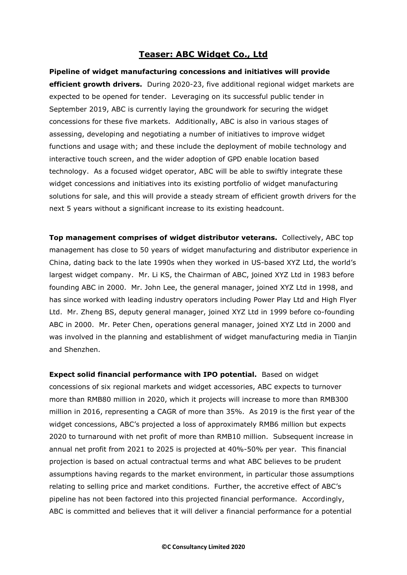## **Teaser: ABC Widget Co., Ltd**

**Pipeline of widget manufacturing concessions and initiatives will provide efficient growth drivers.** During 2020-23, five additional regional widget markets are expected to be opened for tender. Leveraging on its successful public tender in September 2019, ABC is currently laying the groundwork for securing the widget concessions for these five markets. Additionally, ABC is also in various stages of assessing, developing and negotiating a number of initiatives to improve widget functions and usage with; and these include the deployment of mobile technology and interactive touch screen, and the wider adoption of GPD enable location based technology. As a focused widget operator, ABC will be able to swiftly integrate these widget concessions and initiatives into its existing portfolio of widget manufacturing solutions for sale, and this will provide a steady stream of efficient growth drivers for the next 5 years without a significant increase to its existing headcount.

**Top management comprises of widget distributor veterans.** Collectively, ABC top management has close to 50 years of widget manufacturing and distributor experience in China, dating back to the late 1990s when they worked in US-based XYZ Ltd, the world's largest widget company. Mr. Li KS, the Chairman of ABC, joined XYZ Ltd in 1983 before founding ABC in 2000. Mr. John Lee, the general manager, joined XYZ Ltd in 1998, and has since worked with leading industry operators including Power Play Ltd and High Flyer Ltd. Mr. Zheng BS, deputy general manager, joined XYZ Ltd in 1999 before co-founding ABC in 2000. Mr. Peter Chen, operations general manager, joined XYZ Ltd in 2000 and was involved in the planning and establishment of widget manufacturing media in Tianjin and Shenzhen.

**Expect solid financial performance with IPO potential.** Based on widget concessions of six regional markets and widget accessories, ABC expects to turnover more than RMB80 million in 2020, which it projects will increase to more than RMB300 million in 2016, representing a CAGR of more than 35%. As 2019 is the first year of the widget concessions, ABC's projected a loss of approximately RMB6 million but expects 2020 to turnaround with net profit of more than RMB10 million. Subsequent increase in annual net profit from 2021 to 2025 is projected at 40%-50% per year. This financial projection is based on actual contractual terms and what ABC believes to be prudent assumptions having regards to the market environment, in particular those assumptions relating to selling price and market conditions. Further, the accretive effect of ABC's pipeline has not been factored into this projected financial performance. Accordingly, ABC is committed and believes that it will deliver a financial performance for a potential